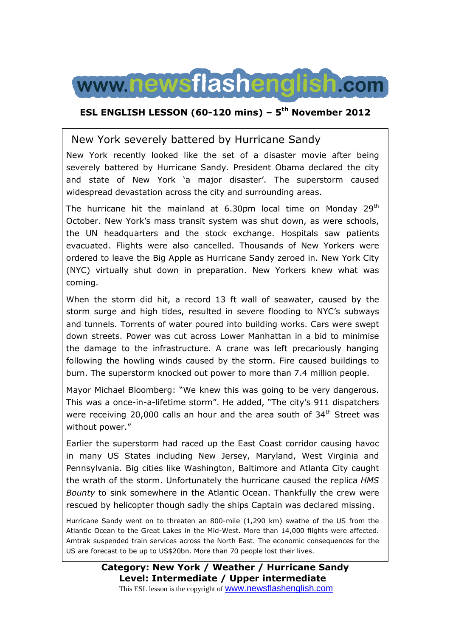

### **ESL ENGLISH LESSON (60-120 mins) – 5th November 2012**

### New York severely battered by Hurricane Sandy

New York recently looked like the set of a disaster movie after being severely battered by Hurricane Sandy. President Obama declared the city and state of New York 'a major disaster'. The superstorm caused widespread devastation across the city and surrounding areas.

The hurricane hit the mainland at 6.30pm local time on Monday  $29<sup>th</sup>$ October. New York's mass transit system was shut down, as were schools, the UN headquarters and the stock exchange. Hospitals saw patients evacuated. Flights were also cancelled. Thousands of New Yorkers were ordered to leave the Big Apple as Hurricane Sandy zeroed in. New York City (NYC) virtually shut down in preparation. New Yorkers knew what was coming.

When the storm did hit, a record 13 ft wall of seawater, caused by the storm surge and high tides, resulted in severe flooding to NYC's subways and tunnels. Torrents of water poured into building works. Cars were swept down streets. Power was cut across Lower Manhattan in a bid to minimise the damage to the infrastructure. A crane was left precariously hanging following the howling winds caused by the storm. Fire caused buildings to burn. The superstorm knocked out power to more than 7.4 million people.

Mayor Michael Bloomberg: "We knew this was going to be very dangerous. This was a once-in-a-lifetime storm". He added, "The city's 911 dispatchers were receiving 20,000 calls an hour and the area south of 34<sup>th</sup> Street was without power."

Earlier the superstorm had raced up the East Coast corridor causing havoc in many US States including New Jersey, Maryland, West Virginia and Pennsylvania. Big cities like Washington, Baltimore and Atlanta City caught the wrath of the storm. Unfortunately the hurricane caused the replica *HMS Bounty* to sink somewhere in the Atlantic Ocean. Thankfully the crew were rescued by helicopter though sadly the ships Captain was declared missing.

Hurricane Sandy went on to threaten an 800-mile (1,290 km) swathe of the US from the Atlantic Ocean to the Great Lakes in the Mid-West. More than 14,000 flights were affected. Amtrak suspended train services across the North East. The economic consequences for the US are forecast to be up to US\$20bn. More than 70 people lost their lives.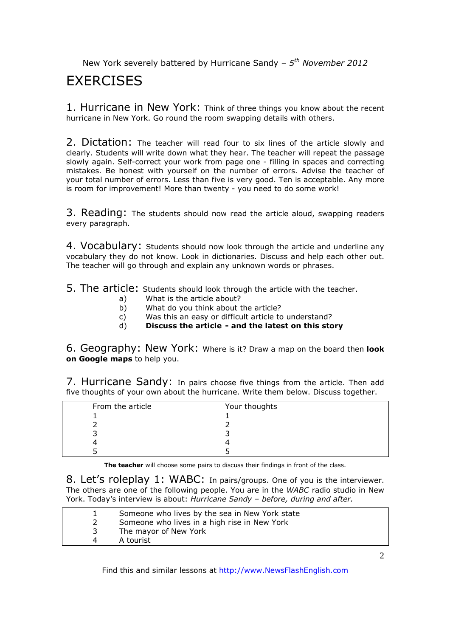## **FXFRCISES**

1. Hurricane in New York: Think of three things you know about the recent hurricane in New York. Go round the room swapping details with others.

2. Dictation: The teacher will read four to six lines of the article slowly and clearly. Students will write down what they hear. The teacher will repeat the passage slowly again. Self-correct your work from page one - filling in spaces and correcting mistakes. Be honest with yourself on the number of errors. Advise the teacher of your total number of errors. Less than five is very good. Ten is acceptable. Any more is room for improvement! More than twenty - you need to do some work!

3. Reading: The students should now read the article aloud, swapping readers every paragraph.

4. Vocabulary: Students should now look through the article and underline any vocabulary they do not know. Look in dictionaries. Discuss and help each other out. The teacher will go through and explain any unknown words or phrases.

5. The article: Students should look through the article with the teacher.

- a) What is the article about?
- b) What do you think about the article?
- c) Was this an easy or difficult article to understand?
- d) **Discuss the article and the latest on this story**

6. Geography: New York: Where is it? Draw a map on the board then **look on Google maps** to help you.

7. Hurricane Sandy: In pairs choose five things from the article. Then add five thoughts of your own about the hurricane. Write them below. Discuss together.

| From the article | Your thoughts |
|------------------|---------------|
|                  |               |
|                  |               |
|                  |               |
|                  |               |
|                  |               |

**The teacher** will choose some pairs to discuss their findings in front of the class.

8. Let's roleplay 1: WABC: In pairs/groups. One of you is the interviewer. The others are one of the following people. You are in the *WABC* radio studio in New York. Today's interview is about: *Hurricane Sandy – before, during and after.* 

|   | Someone who lives by the sea in New York state |
|---|------------------------------------------------|
|   | Someone who lives in a high rise in New York   |
|   | The mayor of New York                          |
| 4 | A tourist                                      |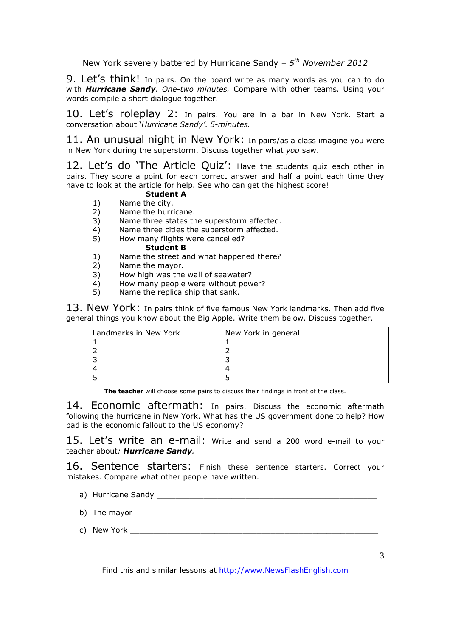9. Let's think! In pairs. On the board write as many words as you can to do with *Hurricane Sandy*. *One-two minutes.* Compare with other teams. Using your words compile a short dialogue together.

10. Let's roleplay 2: In pairs. You are in a bar in New York. Start a conversation about '*Hurricane Sandy'*. *5-minutes.* 

11. An unusual night in New York: In pairs/as a class imagine you were in New York during the superstorm. Discuss together what *you* saw.

12. Let's do 'The Article Quiz': Have the students quiz each other in pairs. They score a point for each correct answer and half a point each time they have to look at the article for help. See who can get the highest score!

### **Student A**

- 1) Name the city.<br>2) Name the hurri
- 2) Name the hurricane.<br>3) Name three states the
- Name three states the superstorm affected.
- 4) Name three cities the superstorm affected.
- 5) How many flights were cancelled?

#### **Student B**

- 1) Name the street and what happened there?
- 2) Name the mayor.
- 3) How high was the wall of seawater?
- 4) How many people were without power?<br>5) Name the replica ship that sank.
- Name the replica ship that sank.

13. New York: In pairs think of five famous New York landmarks. Then add five general things you know about the Big Apple. Write them below. Discuss together.

| Landmarks in New York | New York in general |
|-----------------------|---------------------|
|                       |                     |
|                       |                     |
|                       |                     |
|                       |                     |
|                       |                     |

**The teacher** will choose some pairs to discuss their findings in front of the class.

14. Economic aftermath: In pairs. Discuss the economic aftermath following the hurricane in New York. What has the US government done to help? How bad is the economic fallout to the US economy?

15. Let's write an e-mail: Write and send a 200 word e-mail to your teacher about*: Hurricane Sandy.*

16. Sentence starters: Finish these sentence starters. Correct your mistakes. Compare what other people have written.

- a) Hurricane Sandy \_\_\_\_\_\_\_\_\_\_\_\_\_\_\_\_\_\_\_\_\_\_\_\_\_\_\_\_\_\_\_\_\_\_\_\_\_\_\_\_\_\_\_\_\_\_\_
- b) The mayor  $\qquad \qquad$
- c) New York  $\overline{\phantom{a}}$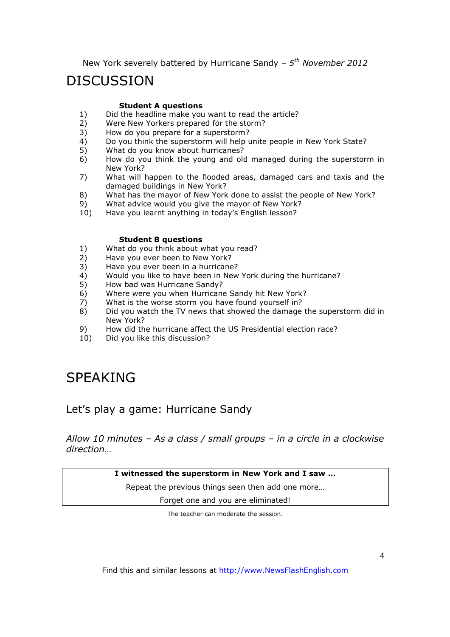# **DISCUSSION**

#### **Student A questions**

- 1) Did the headline make you want to read the article?<br>2) Were New Yorkers prepared for the storm?
- 2) Were New Yorkers prepared for the storm?<br>3) How do you prepare for a superstorm?
- How do you prepare for a superstorm?
- 4) Do you think the superstorm will help unite people in New York State?
- 5) What do you know about hurricanes?
- 6) How do you think the young and old managed during the superstorm in New York?
- 7) What will happen to the flooded areas, damaged cars and taxis and the damaged buildings in New York?
- 8) What has the mayor of New York done to assist the people of New York?
- 9) What advice would you give the mayor of New York?<br>10) Have you learnt anything in today's English lesson?
- Have you learnt anything in today's English lesson?

#### **Student B questions**

- 1) What do you think about what you read?
- 2) Have you ever been to New York?
- 3) Have you ever been in a hurricane?
- 4) Would you like to have been in New York during the hurricane?
- 5) How bad was Hurricane Sandy?
- 6) Where were you when Hurricane Sandy hit New York?
- 7) What is the worse storm you have found yourself in?
- 8) Did you watch the TV news that showed the damage the superstorm did in New York?
- 9) How did the hurricane affect the US Presidential election race?<br>10) Did vou like this discussion?
- Did you like this discussion?

# SPEAKING

### Let's play a game: Hurricane Sandy

*Allow 10 minutes – As a class / small groups – in a circle in a clockwise direction…*

**I witnessed the superstorm in New York and I saw …** 

Repeat the previous things seen then add one more…

Forget one and you are eliminated!

The teacher can moderate the session.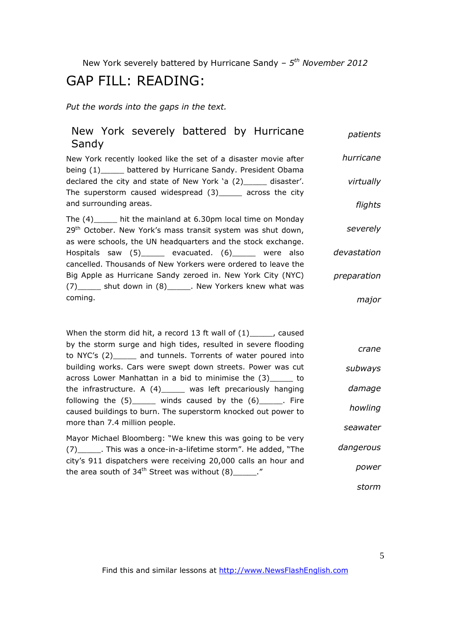# GAP FILL: READING:

*Put the words into the gaps in the text.* 

| New York severely battered by Hurricane<br>Sandy                                                                                                                                                           | patients    |
|------------------------------------------------------------------------------------------------------------------------------------------------------------------------------------------------------------|-------------|
| New York recently looked like the set of a disaster movie after<br>being (1)______ battered by Hurricane Sandy. President Obama                                                                            | hurricane   |
| declared the city and state of New York 'a (2)_____ disaster'.<br>The superstorm caused widespread $(3)$ _____ across the city<br>and surrounding areas.                                                   | virtually   |
|                                                                                                                                                                                                            | flights     |
| The $(4)$ _____ hit the mainland at 6.30pm local time on Monday<br>29 <sup>th</sup> October. New York's mass transit system was shut down,<br>as were schools, the UN headquarters and the stock exchange. | severely    |
| Hospitals saw (5)______ evacuated. (6)_____ were also<br>cancelled. Thousands of New Yorkers were ordered to leave the                                                                                     | devastation |
| Big Apple as Hurricane Sandy zeroed in. New York City (NYC)<br>(7)______ shut down in (8)______. New Yorkers knew what was                                                                                 | preparation |
| coming.                                                                                                                                                                                                    | major       |
|                                                                                                                                                                                                            |             |
| When the storm did hit, a record 13 ft wall of $(1)$ <sub>_____</sub> , caused                                                                                                                             |             |
| by the storm surge and high tides, resulted in severe flooding<br>to NYC's (2)_____ and tunnels. Torrents of water poured into                                                                             | crane       |
| building works. Cars were swept down streets. Power was cut<br>across Lower Manhattan in a bid to minimise the (3)_____ to                                                                                 | subways     |
| the infrastructure. A $(4)$ _____ was left precariously hanging<br>following the $(5)$ ______ winds caused by the $(6)$ ______. Fire                                                                       | damage      |
| caused buildings to burn. The superstorm knocked out power to                                                                                                                                              | howling     |
| more than 7.4 million people.                                                                                                                                                                              | seawater    |
| Mayor Michael Bloomberg: "We knew this was going to be very<br>(7) _______. This was a once-in-a-lifetime storm". He added, "The                                                                           | dangerous   |
| city's 911 dispatchers were receiving 20,000 calls an hour and<br>the area south of $34^{th}$ Street was without $(8)$ ______."                                                                            | power       |
|                                                                                                                                                                                                            | storm       |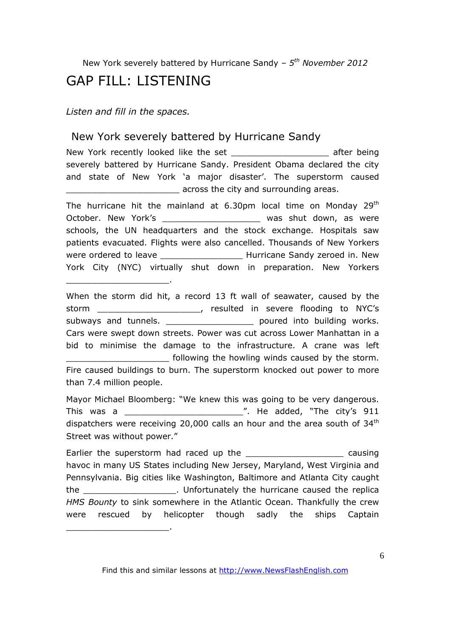## GAP FILL: LISTENING

*Listen and fill in the spaces.* 

\_\_\_\_\_\_\_\_\_\_\_\_\_\_\_\_\_\_\_\_.

\_\_\_\_\_\_\_\_\_\_\_\_\_\_\_\_\_\_\_\_.

## New York severely battered by Hurricane Sandy

New York recently looked like the set example the set after being severely battered by Hurricane Sandy. President Obama declared the city and state of New York 'a major disaster'. The superstorm caused across the city and surrounding areas.

The hurricane hit the mainland at 6.30pm local time on Monday  $29<sup>th</sup>$ October. New York's extended to the was shut down, as were schools, the UN headquarters and the stock exchange. Hospitals saw patients evacuated. Flights were also cancelled. Thousands of New Yorkers were ordered to leave \_\_\_\_\_\_\_\_\_\_\_\_\_\_\_\_\_\_\_\_\_\_\_\_ Hurricane Sandy zeroed in. New York City (NYC) virtually shut down in preparation. New Yorkers

When the storm did hit, a record 13 ft wall of seawater, caused by the storm entitled in severe flooding to NYC's subways and tunnels. \_\_\_\_\_\_\_\_\_\_\_\_\_\_\_\_\_\_\_\_\_\_\_\_\_\_ poured into building works. Cars were swept down streets. Power was cut across Lower Manhattan in a bid to minimise the damage to the infrastructure. A crane was left \_\_\_\_\_\_\_\_\_\_\_\_\_\_\_\_\_\_\_\_ following the howling winds caused by the storm. Fire caused buildings to burn. The superstorm knocked out power to more than 7.4 million people.

Mayor Michael Bloomberg: "We knew this was going to be very dangerous. This was a  $\frac{1}{2}$  This was a  $\frac{1}{2}$  and  $\frac{1}{2}$  and  $\frac{1}{2}$  . He added, "The city's 911 dispatchers were receiving 20,000 calls an hour and the area south of  $34<sup>th</sup>$ Street was without power."

Earlier the superstorm had raced up the \_\_\_\_\_\_\_\_\_\_\_\_\_\_\_\_\_\_\_\_\_\_\_\_\_\_\_ causing havoc in many US States including New Jersey, Maryland, West Virginia and Pennsylvania. Big cities like Washington, Baltimore and Atlanta City caught the \_\_\_\_\_\_\_\_\_\_\_\_\_\_\_\_\_. Unfortunately the hurricane caused the replica *HMS Bounty* to sink somewhere in the Atlantic Ocean. Thankfully the crew were rescued by helicopter though sadly the ships Captain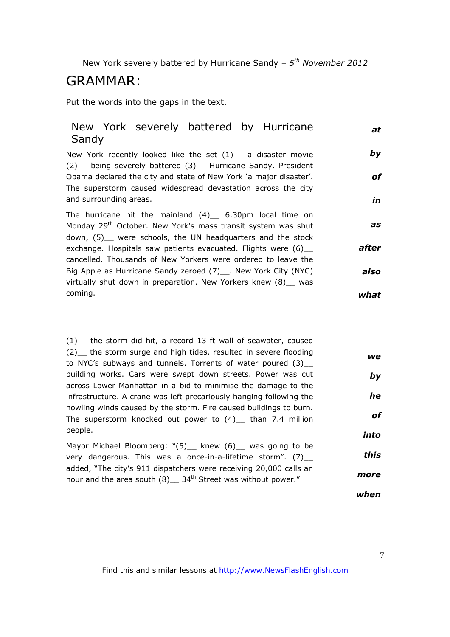## GRAMMAR:

Put the words into the gaps in the text.

#### New York severely battered by Hurricane Sandy *at*

New York recently looked like the set  $(1)$  a disaster movie (2)\_\_ being severely battered (3)\_\_ Hurricane Sandy. President Obama declared the city and state of New York 'a major disaster'. The superstorm caused widespread devastation across the city and surrounding areas. *by of in*

The hurricane hit the mainland  $(4)$  6.30pm local time on Monday 29<sup>th</sup> October. New York's mass transit system was shut down, (5) were schools, the UN headquarters and the stock exchange. Hospitals saw patients evacuated. Flights were (6) cancelled. Thousands of New Yorkers were ordered to leave the Big Apple as Hurricane Sandy zeroed (7)\_\_\_. New York City (NYC) virtually shut down in preparation. New Yorkers knew (8) \_ was coming. *as after also what*

(1)\_\_ the storm did hit, a record 13 ft wall of seawater, caused (2) the storm surge and high tides, resulted in severe flooding to NYC's subways and tunnels. Torrents of water poured (3)\_\_ building works. Cars were swept down streets. Power was cut across Lower Manhattan in a bid to minimise the damage to the infrastructure. A crane was left precariously hanging following the howling winds caused by the storm. Fire caused buildings to burn. The superstorm knocked out power to  $(4)$  than 7.4 million people. Mayor Michael Bloomberg: "(5) knew (6) was going to be very dangerous. This was a once-in-a-lifetime storm".  $(7)$ \_ *we by he of into this*

added, "The city's 911 dispatchers were receiving 20,000 calls an hour and the area south  $(8)$  34<sup>th</sup> Street was without power." *more*

*when*